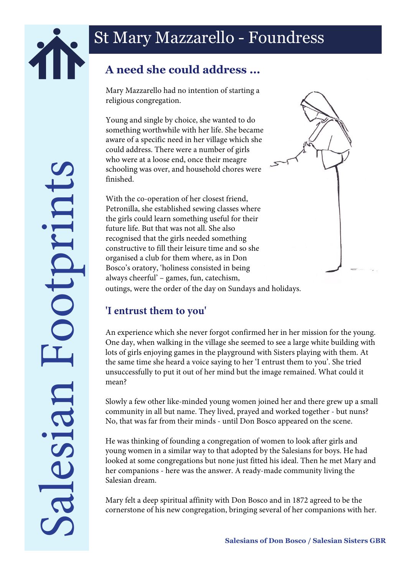

## **A need she could address ...**

Mary Mazzarello had no intention of starting a religious congregation.

Young and single by choice, she wanted to do something worthwhile with her life. She became aware of a specific need in her village which she could address. There were a number of girls who were at a loose end, once their meagre schooling was over, and household chores were finished.

outings, were the order of the day on Sundays and holidays. With the co-operation of her closest friend, Petronilla, she established sewing classes where the girls could learn something useful for their future life. But that was not all. She also recognised that the girls needed something constructive to fill their leisure time and so she organised a club for them where, as in Don Bosco's oratory, 'holiness consisted in being always cheerful' – games, fun, catechism,

## **'I entrust them to you'**

An experience which she never forgot confirmed her in her mission for the young. One day, when walking in the village she seemed to see a large white building with lots of girls enjoying games in the playground with Sisters playing with them. At the same time she heard a voice saying to her 'I entrust them to you'. She tried unsuccessfully to put it out of her mind but the image remained. What could it mean?

Slowly a few other like-minded young women joined her and there grew up a small community in all but name. They lived, prayed and worked together - but nuns? No, that was far from their minds - until Don Bosco appeared on the scene.

He was thinking of founding a congregation of women to look after girls and young women in a similar way to that adopted by the Salesians for boys. He had looked at some congregations but none just fitted his ideal. Then he met Mary and her companions - here was the answer. A ready-made community living the Salesian dream.

Mary felt a deep spiritual affinity with Don Bosco and in 1872 agreed to be the cornerstone of his new congregation, bringing several of her companions with her.